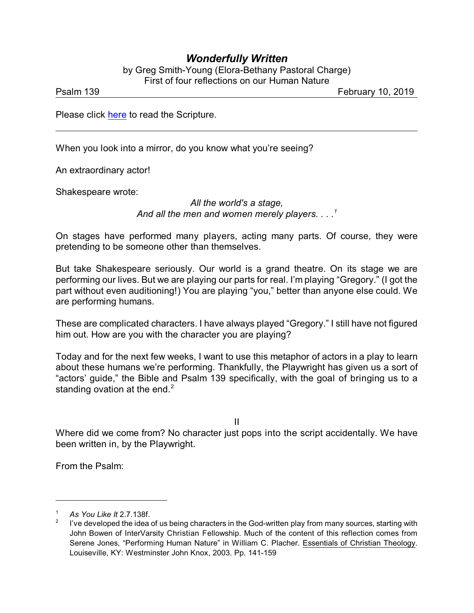## *Wonderfully Written*

by Greg Smith-Young (Elora-Bethany Pastoral Charge) First of four reflections on our Human Nature

Psalm 139 February 10, 2019

Please click [here](https://www.biblegateway.com/passage/?search=Psalm+139&version=NRSV) to read the Scripture.

When you look into a mirror, do you know what you're seeing?

An extraordinary actor!

Shakespeare wrote:

*All the world's a stage, And all the men and women merely players. . . .<sup>1</sup>*

On stages have performed many players, acting many parts. Of course, they were pretending to be someone other than themselves.

But take Shakespeare seriously. Our world is a grand theatre. On its stage we are performing our lives. But we are playing our parts for real. I'm playing "Gregory." (I got the part without even auditioning!) You are playing "you," better than anyone else could. We are performing humans.

These are complicated characters. I have always played "Gregory." I still have not figured him out. How are you with the character you are playing?

Today and for the next few weeks, I want to use this metaphor of actors in a play to learn about these humans we're performing. Thankfully, the Playwright has given us a sort of "actors' guide," the Bible and Psalm 139 specifically, with the goal of bringing us to a standing ovation at the end. $2$ 

II

Where did we come from? No character just pops into the script accidentally. We have been written in, by the Playwright.

From the Psalm:

<sup>1</sup> *As You Like It* 2.7.138f.

<sup>2</sup> I've developed the idea of us being characters in the God-written play from many sources, starting with John Bowen of InterVarsity Christian Fellowship. Much of the content of this reflection comes from Serene Jones, "Performing Human Nature" in William C. Placher. Essentials of Christian Theology. Louiseville, KY: Westminster John Knox, 2003. Pp. 141-159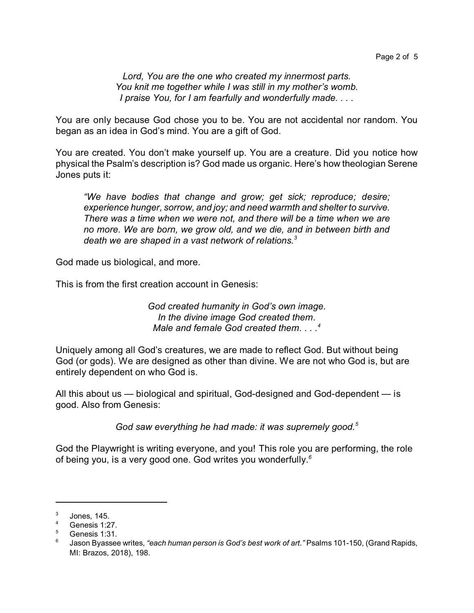*Lord, You are the one who created my innermost parts. You knit me together while I was still in my mother's womb. I praise You, for I am fearfully and wonderfully made. . . .*

You are only because God chose you to be. You are not accidental nor random. You began as an idea in God's mind. You are a gift of God.

You are created. You don't make yourself up. You are a creature. Did you notice how physical the Psalm's description is? God made us organic. Here's how theologian Serene Jones puts it:

*"We have bodies that change and grow; get sick; reproduce; desire; experience hunger, sorrow, and joy; and need warmth and shelter to survive. There was a time when we were not, and there will be a time when we are no more. We are born, we grow old, and we die, and in between birth and death we are shaped in a vast network of relations.<sup>3</sup>*

God made us biological, and more.

This is from the first creation account in Genesis:

*God created humanity in God's own image. In the divine image God created them. Male and female God created them. . . . 4*

Uniquely among all God's creatures, we are made to reflect God. But without being God (or gods). We are designed as other than divine. We are not who God is, but are entirely dependent on who God is.

All this about us — biological and spiritual, God-designed and God-dependent — is good. Also from Genesis:

*God saw everything he had made: it was supremely good.<sup>5</sup>*

God the Playwright is writing everyone, and you! This role you are performing, the role of being you, is a very good one. God writes you wonderfully.*<sup>6</sup>*

<sup>3</sup> Jones, 145.

 $4$  Genesis 1:27.

 $5$  Genesis 1:31.

<sup>6</sup> Jason Byassee writes, *"each human person is God's best work of art."* Psalms 101-150, (Grand Rapids, MI: Brazos, 2018), 198.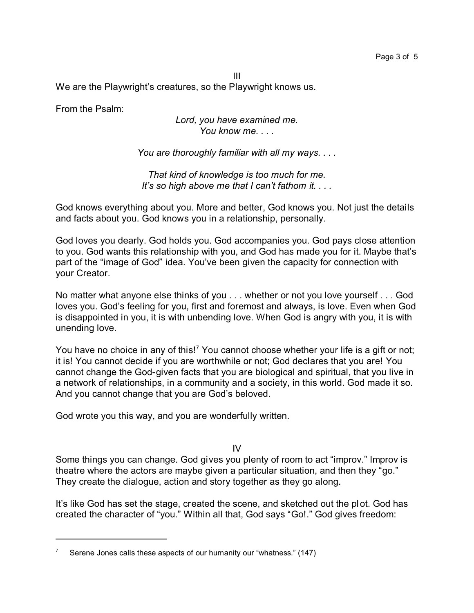III We are the Playwright's creatures, so the Playwright knows us.

From the Psalm:

## *Lord, you have examined me. You know me. . . .*

*You are thoroughly familiar with all my ways. . . .*

*That kind of knowledge is too much for me. It's so high above me that I can't fathom it. . . .*

God knows everything about you. More and better, God knows you. Not just the details and facts about you. God knows you in a relationship, personally.

God loves you dearly. God holds you. God accompanies you. God pays close attention to you. God wants this relationship with you, and God has made you for it. Maybe that's part of the "image of God" idea. You've been given the capacity for connection with your Creator.

No matter what anyone else thinks of you . . . whether or not you love yourself . . . God loves you. God's feeling for you, first and foremost and always, is love. Even when God is disappointed in you, it is with unbending love. When God is angry with you, it is with unending love.

You have no choice in any of this!<sup>7</sup> You cannot choose whether your life is a gift or not; it is! You cannot decide if you are worthwhile or not; God declares that you are! You cannot change the God-given facts that you are biological and spiritual, that you live in a network of relationships, in a community and a society, in this world. God made it so. And you cannot change that you are God's beloved.

God wrote you this way, and you are wonderfully written.

IV

Some things you can change. God gives you plenty of room to act "improv." Improv is theatre where the actors are maybe given a particular situation, and then they "go." They create the dialogue, action and story together as they go along.

It's like God has set the stage, created the scene, and sketched out the plot. God has created the character of "you." Within all that, God says "Go!." God gives freedom:

Serene Jones calls these aspects of our humanity our "whatness." (147)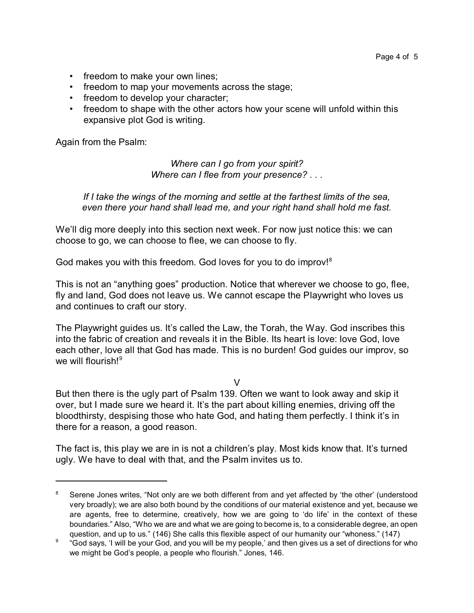- freedom to make your own lines;
- freedom to map your movements across the stage;
- freedom to develop your character;
- freedom to shape with the other actors how your scene will unfold within this expansive plot God is writing.

Again from the Psalm:

*Where can I go from your spirit? Where can I flee from your presence? . . .*

*If I take the wings of the morning and settle at the farthest limits of the sea, even there your hand shall lead me, and your right hand shall hold me fast.*

We'll dig more deeply into this section next week. For now just notice this: we can choose to go, we can choose to flee, we can choose to fly.

God makes you with this freedom. God loves for you to do improv!<sup>8</sup>

This is not an "anything goes" production. Notice that wherever we choose to go, flee, fly and land, God does not leave us. We cannot escape the Playwright who loves us and continues to craft our story.

The Playwright guides us. It's called the Law, the Torah, the Way. God inscribes this into the fabric of creation and reveals it in the Bible. Its heart is love: love God, love each other, love all that God has made. This is no burden! God guides our improv, so we will flourish!<sup>9</sup>

 $\overline{V}$ 

But then there is the ugly part of Psalm 139. Often we want to look away and skip it over, but I made sure we heard it. It's the part about killing enemies, driving off the bloodthirsty, despising those who hate God, and hating them perfectly. I think it's in there for a reason, a good reason.

The fact is, this play we are in is not a children's play. Most kids know that. It's turned ugly. We have to deal with that, and the Psalm invites us to.

<sup>&</sup>lt;sup>8</sup> Serene Jones writes, "Not only are we both different from and yet affected by 'the other' (understood very broadly); we are also both bound by the conditions of our material existence and yet, because we are agents, free to determine, creatively, how we are going to 'do life' in the context of these boundaries." Also, "Who we are and what we are going to become is, to a considerable degree, an open question, and up to us." (146) She calls this flexible aspect of our humanity our "whoness." (147)

 $^9$  "God says, 'I will be your God, and you will be my people,' and then gives us a set of directions for who we might be God's people, a people who flourish." Jones, 146.